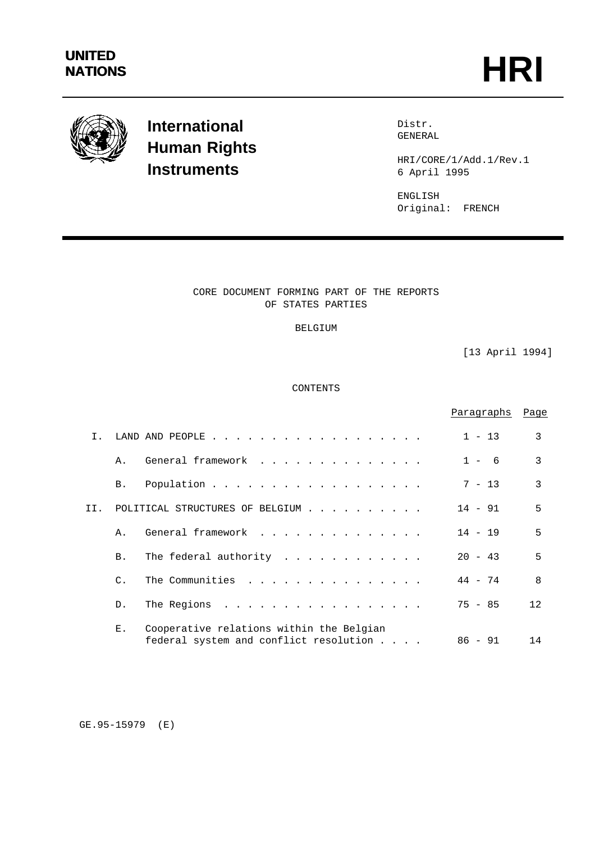

# **International Human Rights Instruments**

Distr. GENERAL

HRI/CORE/1/Add.1/Rev.1 6 April 1995

ENGLISH Original: FRENCH

# CORE DOCUMENT FORMING PART OF THE REPORTS OF STATES PARTIES

## BELGIUM

[13 April 1994]

# CONTENTS

|                |                 |                                                                                    | Paragraphs | Page         |
|----------------|-----------------|------------------------------------------------------------------------------------|------------|--------------|
| $\mathsf{T}$ . |                 | LAND AND PEOPLE $\cdot$                                                            | $1 - 13$   | 3            |
|                | $\Delta$ .      | General framework                                                                  | $1 - 6$    | 3            |
|                | <b>B.</b>       | Population                                                                         | $7 - 13$   | 3            |
| TT.            |                 | POLITICAL STRUCTURES OF BELGIUM                                                    | $14 - 91$  | 5            |
|                | $\Delta$ .      | General framework                                                                  | $14 - 19$  | 5            |
|                | <b>B</b> .      | The federal authority                                                              | $20 - 43$  | 5            |
|                | $\mathcal{C}$ . | The Communities<br>.                                                               | $44 - 74$  | $\mathsf{R}$ |
|                | $D_{\perp}$     | The Regions<br>$\frac{1}{2}$                                                       | $75 - 85$  | 12.          |
|                | Ε.              | Cooperative relations within the Belgian<br>federal system and conflict resolution | $86 - 91$  | 14           |

GE.95-15979 (E)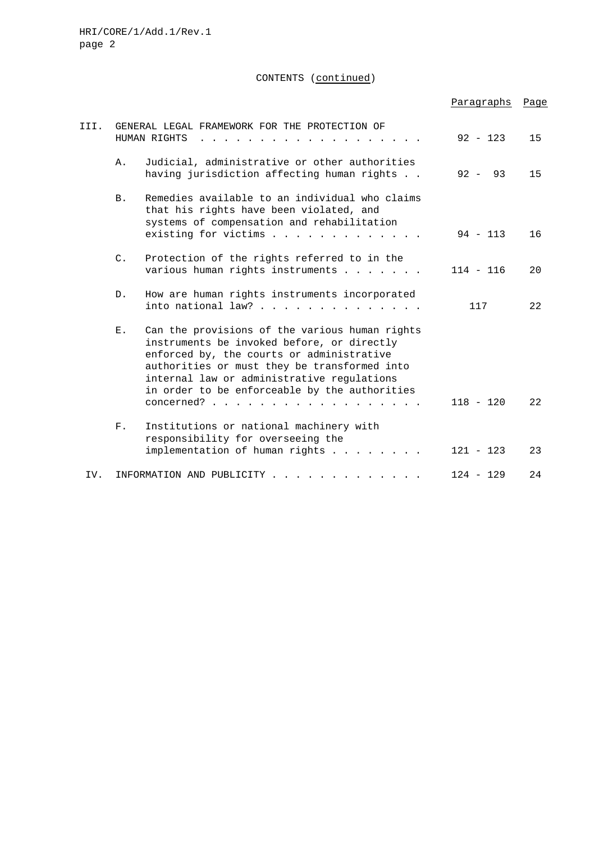CONTENTS (continued)

|      |                                                               |                                                                                                                                                                                                                                                                                                           | Paragraphs   | Page |
|------|---------------------------------------------------------------|-----------------------------------------------------------------------------------------------------------------------------------------------------------------------------------------------------------------------------------------------------------------------------------------------------------|--------------|------|
| III. | GENERAL LEGAL FRAMEWORK FOR THE PROTECTION OF<br>HUMAN RIGHTS |                                                                                                                                                                                                                                                                                                           | $92 - 123$   | 15   |
|      | Α.                                                            | Judicial, administrative or other authorities<br>having jurisdiction affecting human rights                                                                                                                                                                                                               | 93<br>$92 -$ | 15   |
|      | <b>B.</b>                                                     | Remedies available to an individual who claims<br>that his rights have been violated, and<br>systems of compensation and rehabilitation<br>existing for victims                                                                                                                                           | $94 - 113$   | 16   |
|      | $C_{\bullet}$                                                 | Protection of the rights referred to in the<br>various human rights instruments                                                                                                                                                                                                                           | $114 - 116$  | 20   |
|      | $D$ .                                                         | How are human rights instruments incorporated<br>into national law?                                                                                                                                                                                                                                       | 117          | 22   |
|      | $E$ .                                                         | Can the provisions of the various human rights<br>instruments be invoked before, or directly<br>enforced by, the courts or administrative<br>authorities or must they be transformed into<br>internal law or administrative regulations<br>in order to be enforceable by the authorities<br>$concerned$ ? | $118 - 120$  | 22   |
|      | $F$ .                                                         | Institutions or national machinery with<br>responsibility for overseeing the                                                                                                                                                                                                                              |              |      |
|      |                                                               | implementation of human rights                                                                                                                                                                                                                                                                            | $121 - 123$  | 23   |
| IV.  |                                                               | INFORMATION AND PUBLICITY                                                                                                                                                                                                                                                                                 | $124 - 129$  | 24   |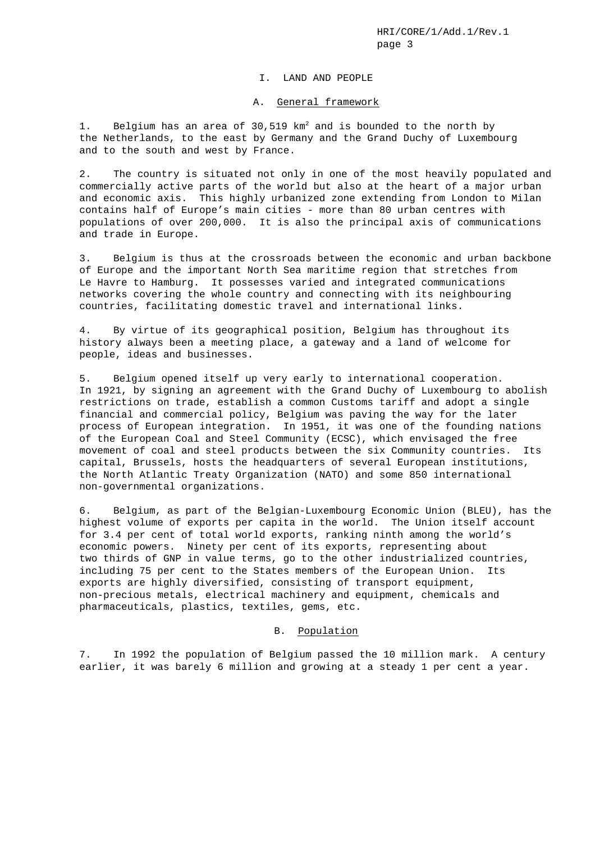#### I. LAND AND PEOPLE

#### A. General framework

1. Belgium has an area of 30,519 km<sup>2</sup> and is bounded to the north by the Netherlands, to the east by Germany and the Grand Duchy of Luxembourg and to the south and west by France.

2. The country is situated not only in one of the most heavily populated and commercially active parts of the world but also at the heart of a major urban and economic axis. This highly urbanized zone extending from London to Milan contains half of Europe's main cities - more than 80 urban centres with populations of over 200,000. It is also the principal axis of communications and trade in Europe.

3. Belgium is thus at the crossroads between the economic and urban backbone of Europe and the important North Sea maritime region that stretches from Le Havre to Hamburg. It possesses varied and integrated communications networks covering the whole country and connecting with its neighbouring countries, facilitating domestic travel and international links.

4. By virtue of its geographical position, Belgium has throughout its history always been a meeting place, a gateway and a land of welcome for people, ideas and businesses.

5. Belgium opened itself up very early to international cooperation. In 1921, by signing an agreement with the Grand Duchy of Luxembourg to abolish restrictions on trade, establish a common Customs tariff and adopt a single financial and commercial policy, Belgium was paving the way for the later process of European integration. In 1951, it was one of the founding nations of the European Coal and Steel Community (ECSC), which envisaged the free movement of coal and steel products between the six Community countries. Its capital, Brussels, hosts the headquarters of several European institutions, the North Atlantic Treaty Organization (NATO) and some 850 international non-governmental organizations.

6. Belgium, as part of the Belgian-Luxembourg Economic Union (BLEU), has the highest volume of exports per capita in the world. The Union itself account for 3.4 per cent of total world exports, ranking ninth among the world's economic powers. Ninety per cent of its exports, representing about two thirds of GNP in value terms, go to the other industrialized countries, including 75 per cent to the States members of the European Union. Its exports are highly diversified, consisting of transport equipment, non-precious metals, electrical machinery and equipment, chemicals and pharmaceuticals, plastics, textiles, gems, etc.

## B. Population

7. In 1992 the population of Belgium passed the 10 million mark. A century earlier, it was barely 6 million and growing at a steady 1 per cent a year.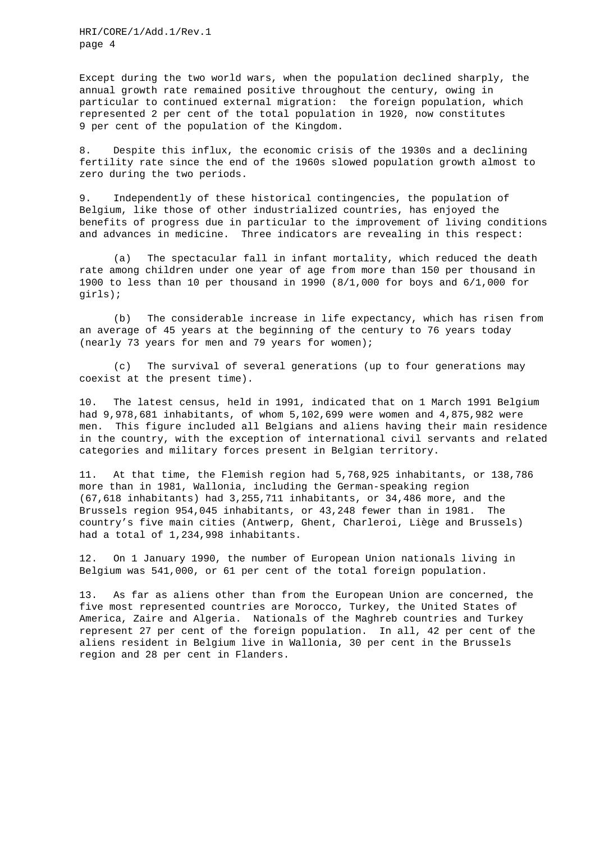Except during the two world wars, when the population declined sharply, the annual growth rate remained positive throughout the century, owing in particular to continued external migration: the foreign population, which represented 2 per cent of the total population in 1920, now constitutes 9 per cent of the population of the Kingdom.

8. Despite this influx, the economic crisis of the 1930s and a declining fertility rate since the end of the 1960s slowed population growth almost to zero during the two periods.

9. Independently of these historical contingencies, the population of Belgium, like those of other industrialized countries, has enjoyed the benefits of progress due in particular to the improvement of living conditions and advances in medicine. Three indicators are revealing in this respect:

(a) The spectacular fall in infant mortality, which reduced the death rate among children under one year of age from more than 150 per thousand in 1900 to less than 10 per thousand in 1990  $(8/1,000$  for boys and  $6/1,000$  for girls);

(b) The considerable increase in life expectancy, which has risen from an average of 45 years at the beginning of the century to 76 years today (nearly 73 years for men and 79 years for women);

(c) The survival of several generations (up to four generations may coexist at the present time).

10. The latest census, held in 1991, indicated that on 1 March 1991 Belgium had 9,978,681 inhabitants, of whom 5,102,699 were women and 4,875,982 were men. This figure included all Belgians and aliens having their main residence in the country, with the exception of international civil servants and related categories and military forces present in Belgian territory.

11. At that time, the Flemish region had 5,768,925 inhabitants, or 138,786 more than in 1981, Wallonia, including the German-speaking region (67,618 inhabitants) had 3,255,711 inhabitants, or 34,486 more, and the Brussels region 954,045 inhabitants, or 43,248 fewer than in 1981. The country's five main cities (Antwerp, Ghent, Charleroi, Liège and Brussels) had a total of 1,234,998 inhabitants.

12. On 1 January 1990, the number of European Union nationals living in Belgium was 541,000, or 61 per cent of the total foreign population.

13. As far as aliens other than from the European Union are concerned, the five most represented countries are Morocco, Turkey, the United States of America, Zaire and Algeria. Nationals of the Maghreb countries and Turkey represent 27 per cent of the foreign population. In all, 42 per cent of the aliens resident in Belgium live in Wallonia, 30 per cent in the Brussels region and 28 per cent in Flanders.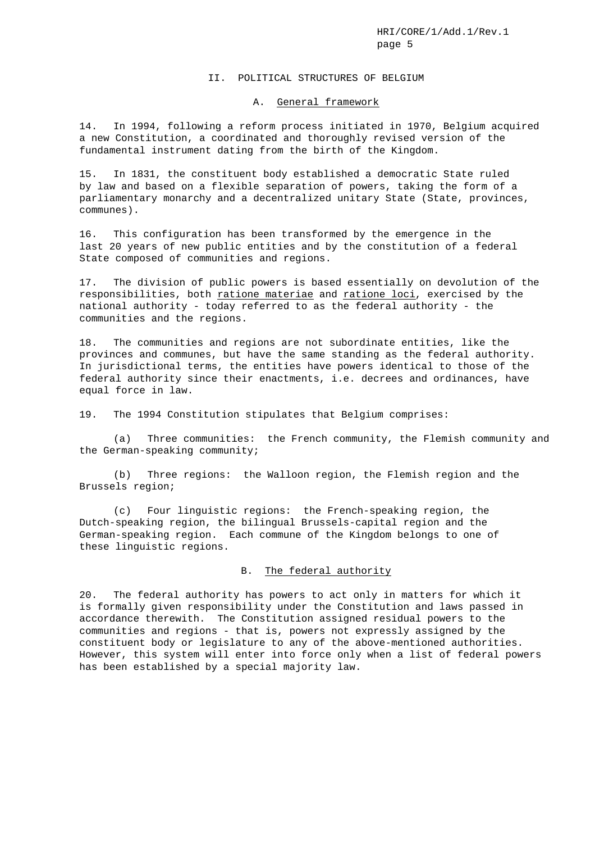#### II. POLITICAL STRUCTURES OF BELGIUM

#### A. General framework

14. In 1994, following a reform process initiated in 1970, Belgium acquired a new Constitution, a coordinated and thoroughly revised version of the fundamental instrument dating from the birth of the Kingdom.

15. In 1831, the constituent body established a democratic State ruled by law and based on a flexible separation of powers, taking the form of a parliamentary monarchy and a decentralized unitary State (State, provinces, communes).

16. This configuration has been transformed by the emergence in the last 20 years of new public entities and by the constitution of a federal State composed of communities and regions.

17. The division of public powers is based essentially on devolution of the responsibilities, both ratione materiae and ratione loci, exercised by the national authority - today referred to as the federal authority - the communities and the regions.

18. The communities and regions are not subordinate entities, like the provinces and communes, but have the same standing as the federal authority. In jurisdictional terms, the entities have powers identical to those of the federal authority since their enactments, i.e. decrees and ordinances, have equal force in law.

19. The 1994 Constitution stipulates that Belgium comprises:

(a) Three communities: the French community, the Flemish community and the German-speaking community;

(b) Three regions: the Walloon region, the Flemish region and the Brussels region;

(c) Four linguistic regions: the French-speaking region, the Dutch-speaking region, the bilingual Brussels-capital region and the German-speaking region. Each commune of the Kingdom belongs to one of these linguistic regions.

## B. The federal authority

20. The federal authority has powers to act only in matters for which it is formally given responsibility under the Constitution and laws passed in accordance therewith. The Constitution assigned residual powers to the communities and regions - that is, powers not expressly assigned by the constituent body or legislature to any of the above-mentioned authorities. However, this system will enter into force only when a list of federal powers has been established by a special majority law.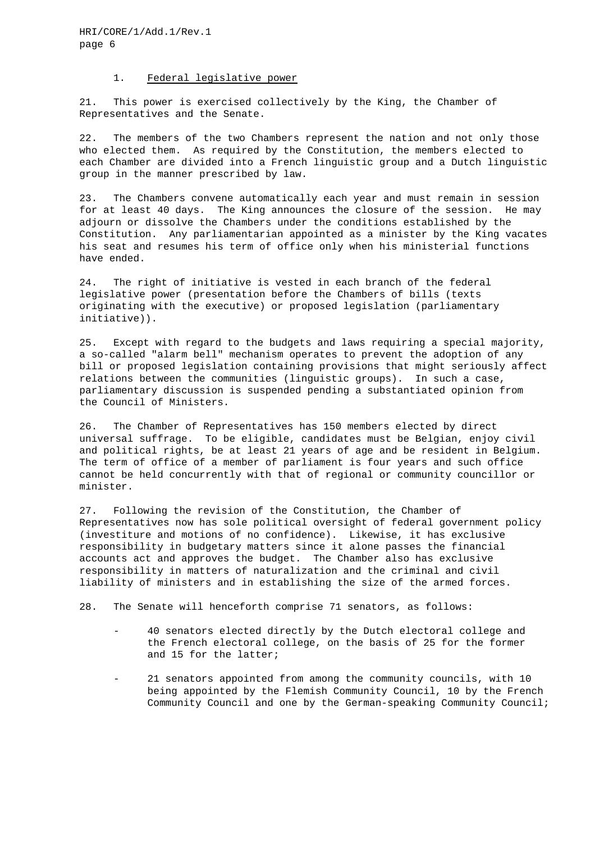## 1. Federal legislative power

21. This power is exercised collectively by the King, the Chamber of Representatives and the Senate.

22. The members of the two Chambers represent the nation and not only those who elected them. As required by the Constitution, the members elected to each Chamber are divided into a French linguistic group and a Dutch linguistic group in the manner prescribed by law.

23. The Chambers convene automatically each year and must remain in session for at least 40 days. The King announces the closure of the session. He may adjourn or dissolve the Chambers under the conditions established by the Constitution. Any parliamentarian appointed as a minister by the King vacates his seat and resumes his term of office only when his ministerial functions have ended.

24. The right of initiative is vested in each branch of the federal legislative power (presentation before the Chambers of bills (texts originating with the executive) or proposed legislation (parliamentary initiative)).

25. Except with regard to the budgets and laws requiring a special majority, a so-called "alarm bell" mechanism operates to prevent the adoption of any bill or proposed legislation containing provisions that might seriously affect relations between the communities (linguistic groups). In such a case, parliamentary discussion is suspended pending a substantiated opinion from the Council of Ministers.

26. The Chamber of Representatives has 150 members elected by direct universal suffrage. To be eligible, candidates must be Belgian, enjoy civil and political rights, be at least 21 years of age and be resident in Belgium. The term of office of a member of parliament is four years and such office cannot be held concurrently with that of regional or community councillor or minister.

27. Following the revision of the Constitution, the Chamber of Representatives now has sole political oversight of federal government policy (investiture and motions of no confidence). Likewise, it has exclusive responsibility in budgetary matters since it alone passes the financial accounts act and approves the budget. The Chamber also has exclusive responsibility in matters of naturalization and the criminal and civil liability of ministers and in establishing the size of the armed forces.

28. The Senate will henceforth comprise 71 senators, as follows:

- 40 senators elected directly by the Dutch electoral college and the French electoral college, on the basis of 25 for the former and 15 for the latter;
- 21 senators appointed from among the community councils, with 10 being appointed by the Flemish Community Council, 10 by the French Community Council and one by the German-speaking Community Council;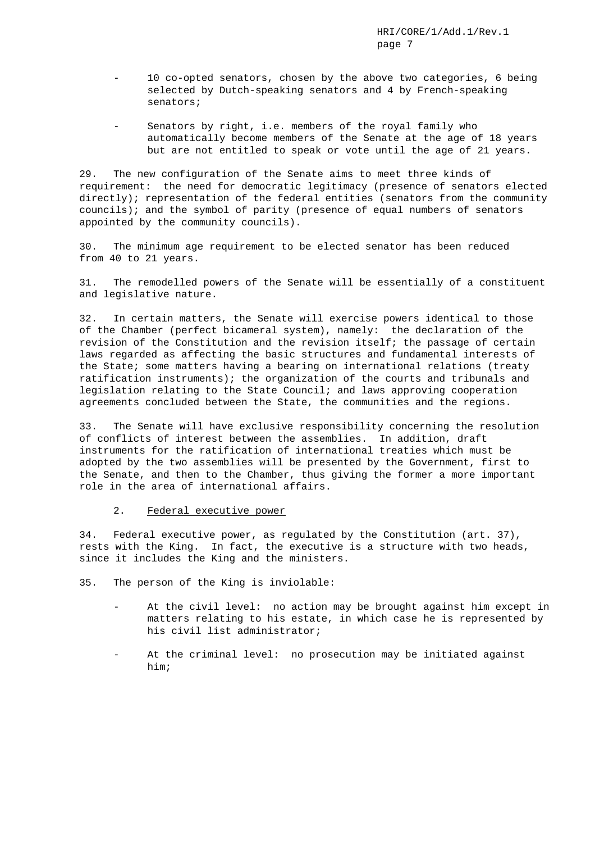- 10 co-opted senators, chosen by the above two categories, 6 being selected by Dutch-speaking senators and 4 by French-speaking senators;
- Senators by right, i.e. members of the royal family who automatically become members of the Senate at the age of 18 years but are not entitled to speak or vote until the age of 21 years.

29. The new configuration of the Senate aims to meet three kinds of requirement: the need for democratic legitimacy (presence of senators elected directly); representation of the federal entities (senators from the community councils); and the symbol of parity (presence of equal numbers of senators appointed by the community councils).

30. The minimum age requirement to be elected senator has been reduced from 40 to 21 years.

31. The remodelled powers of the Senate will be essentially of a constituent and legislative nature.

32. In certain matters, the Senate will exercise powers identical to those of the Chamber (perfect bicameral system), namely: the declaration of the revision of the Constitution and the revision itself; the passage of certain laws regarded as affecting the basic structures and fundamental interests of the State; some matters having a bearing on international relations (treaty ratification instruments); the organization of the courts and tribunals and legislation relating to the State Council; and laws approving cooperation agreements concluded between the State, the communities and the regions.

33. The Senate will have exclusive responsibility concerning the resolution of conflicts of interest between the assemblies. In addition, draft instruments for the ratification of international treaties which must be adopted by the two assemblies will be presented by the Government, first to the Senate, and then to the Chamber, thus giving the former a more important role in the area of international affairs.

#### 2. Federal executive power

34. Federal executive power, as regulated by the Constitution (art. 37), rests with the King. In fact, the executive is a structure with two heads, since it includes the King and the ministers.

35. The person of the King is inviolable:

- At the civil level: no action may be brought against him except in matters relating to his estate, in which case he is represented by his civil list administrator;
- At the criminal level: no prosecution may be initiated against him;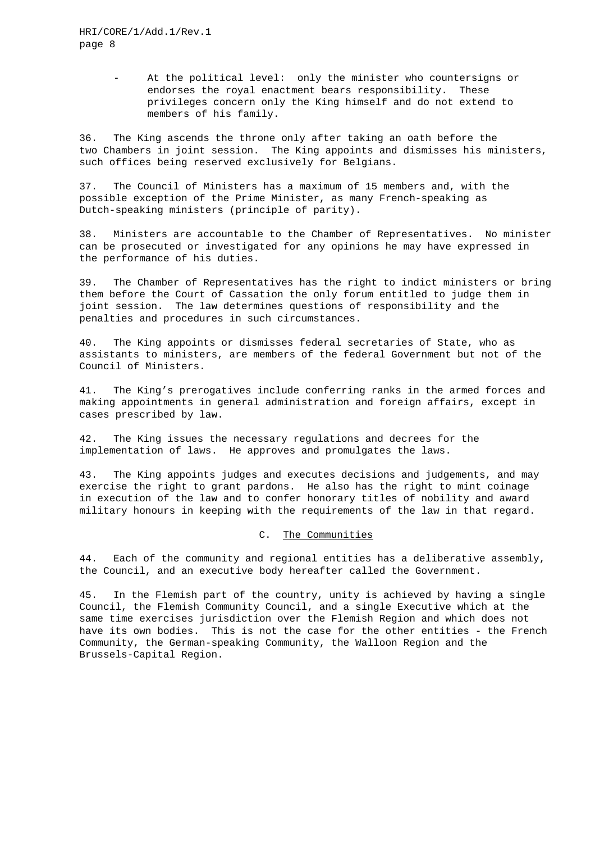At the political level: only the minister who countersigns or endorses the royal enactment bears responsibility. These privileges concern only the King himself and do not extend to members of his family.

36. The King ascends the throne only after taking an oath before the two Chambers in joint session. The King appoints and dismisses his ministers, such offices being reserved exclusively for Belgians.

37. The Council of Ministers has a maximum of 15 members and, with the possible exception of the Prime Minister, as many French-speaking as Dutch-speaking ministers (principle of parity).

38. Ministers are accountable to the Chamber of Representatives. No minister can be prosecuted or investigated for any opinions he may have expressed in the performance of his duties.

39. The Chamber of Representatives has the right to indict ministers or bring them before the Court of Cassation the only forum entitled to judge them in joint session. The law determines questions of responsibility and the penalties and procedures in such circumstances.

40. The King appoints or dismisses federal secretaries of State, who as assistants to ministers, are members of the federal Government but not of the Council of Ministers.

41. The King's prerogatives include conferring ranks in the armed forces and making appointments in general administration and foreign affairs, except in cases prescribed by law.

42. The King issues the necessary regulations and decrees for the implementation of laws. He approves and promulgates the laws.

43. The King appoints judges and executes decisions and judgements, and may exercise the right to grant pardons. He also has the right to mint coinage in execution of the law and to confer honorary titles of nobility and award military honours in keeping with the requirements of the law in that regard.

### C. The Communities

44. Each of the community and regional entities has a deliberative assembly, the Council, and an executive body hereafter called the Government.

45. In the Flemish part of the country, unity is achieved by having a single Council, the Flemish Community Council, and a single Executive which at the same time exercises jurisdiction over the Flemish Region and which does not have its own bodies. This is not the case for the other entities - the French Community, the German-speaking Community, the Walloon Region and the Brussels-Capital Region.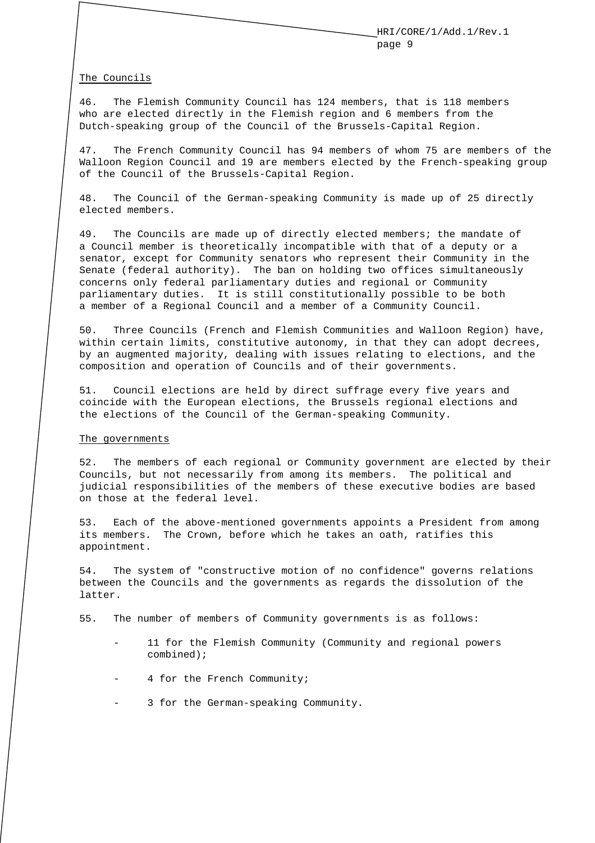#### The Councils

46. The Flemish Community Council has 124 members, that is 118 members who are elected directly in the Flemish region and 6 members from the Dutch-speaking group of the Council of the Brussels-Capital Region.

47. The French Community Council has 94 members of whom 75 are members of the Walloon Region Council and 19 are members elected by the French-speaking group of the Council of the Brussels-Capital Region.

48. The Council of the German-speaking Community is made up of 25 directly elected members.

49. The Councils are made up of directly elected members; the mandate of a Council member is theoretically incompatible with that of a deputy or a senator, except for Community senators who represent their Community in the Senate (federal authority). The ban on holding two offices simultaneously concerns only federal parliamentary duties and regional or Community parliamentary duties. It is still constitutionally possible to be both a member of a Regional Council and a member of a Community Council.

50. Three Councils (French and Flemish Communities and Walloon Region) have, within certain limits, constitutive autonomy, in that they can adopt decrees, by an augmented majority, dealing with issues relating to elections, and the composition and operation of Councils and of their governments.

51. Council elections are held by direct suffrage every five years and coincide with the European elections, the Brussels regional elections and the elections of the Council of the German-speaking Community.

#### The governments

52. The members of each regional or Community government are elected by their Councils, but not necessarily from among its members. The political and judicial responsibilities of the members of these executive bodies are based on those at the federal level.

53. Each of the above-mentioned governments appoints a President from among its members. The Crown, before which he takes an oath, ratifies this appointment.

54. The system of "constructive motion of no confidence" governs relations between the Councils and the governments as regards the dissolution of the latter.

55. The number of members of Community governments is as follows:

- 11 for the Flemish Community (Community and regional powers combined);
- 4 for the French Community;
- 3 for the German-speaking Community.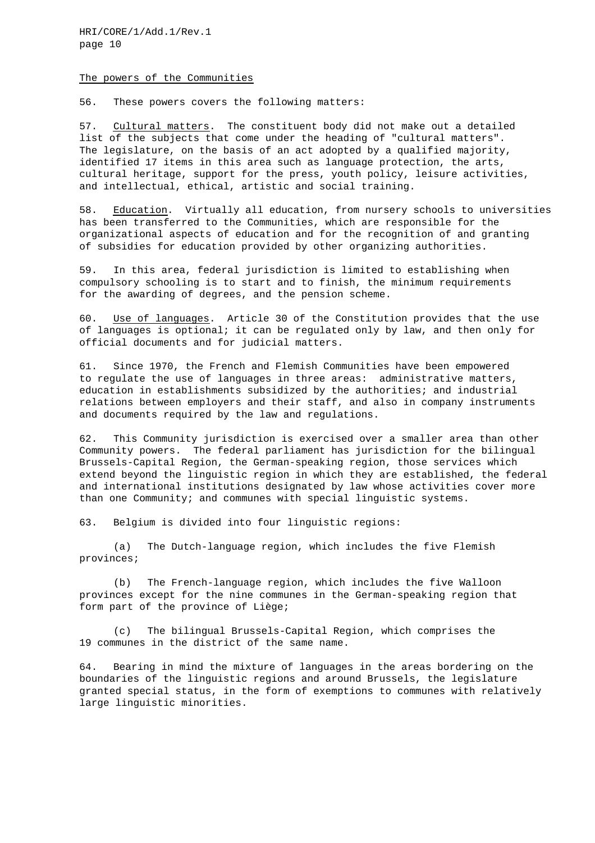#### The powers of the Communities

56. These powers covers the following matters:

57. Cultural matters. The constituent body did not make out a detailed list of the subjects that come under the heading of "cultural matters". The legislature, on the basis of an act adopted by a qualified majority, identified 17 items in this area such as language protection, the arts, cultural heritage, support for the press, youth policy, leisure activities, and intellectual, ethical, artistic and social training.

58. Education. Virtually all education, from nursery schools to universities has been transferred to the Communities, which are responsible for the organizational aspects of education and for the recognition of and granting of subsidies for education provided by other organizing authorities.

59. In this area, federal jurisdiction is limited to establishing when compulsory schooling is to start and to finish, the minimum requirements for the awarding of degrees, and the pension scheme.

60. Use of languages. Article 30 of the Constitution provides that the use of languages is optional; it can be regulated only by law, and then only for official documents and for judicial matters.

61. Since 1970, the French and Flemish Communities have been empowered to regulate the use of languages in three areas: administrative matters, education in establishments subsidized by the authorities; and industrial relations between employers and their staff, and also in company instruments and documents required by the law and regulations.

62. This Community jurisdiction is exercised over a smaller area than other Community powers. The federal parliament has jurisdiction for the bilingual Brussels-Capital Region, the German-speaking region, those services which extend beyond the linguistic region in which they are established, the federal and international institutions designated by law whose activities cover more than one Community; and communes with special linguistic systems.

63. Belgium is divided into four linguistic regions:

(a) The Dutch-language region, which includes the five Flemish provinces;

(b) The French-language region, which includes the five Walloon provinces except for the nine communes in the German-speaking region that form part of the province of Liège;

(c) The bilingual Brussels-Capital Region, which comprises the 19 communes in the district of the same name.

64. Bearing in mind the mixture of languages in the areas bordering on the boundaries of the linguistic regions and around Brussels, the legislature granted special status, in the form of exemptions to communes with relatively large linguistic minorities.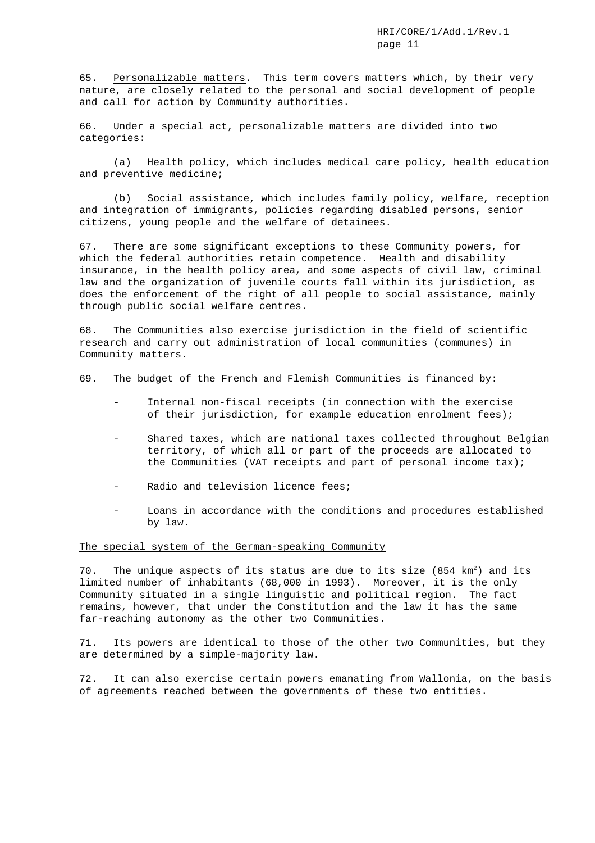65. Personalizable matters. This term covers matters which, by their very nature, are closely related to the personal and social development of people and call for action by Community authorities.

66. Under a special act, personalizable matters are divided into two categories:

(a) Health policy, which includes medical care policy, health education and preventive medicine;

(b) Social assistance, which includes family policy, welfare, reception and integration of immigrants, policies regarding disabled persons, senior citizens, young people and the welfare of detainees.

67. There are some significant exceptions to these Community powers, for which the federal authorities retain competence. Health and disability insurance, in the health policy area, and some aspects of civil law, criminal law and the organization of juvenile courts fall within its jurisdiction, as does the enforcement of the right of all people to social assistance, mainly through public social welfare centres.

68. The Communities also exercise jurisdiction in the field of scientific research and carry out administration of local communities (communes) in Community matters.

69. The budget of the French and Flemish Communities is financed by:

- Internal non-fiscal receipts (in connection with the exercise of their jurisdiction, for example education enrolment fees);
- Shared taxes, which are national taxes collected throughout Belgian territory, of which all or part of the proceeds are allocated to the Communities (VAT receipts and part of personal income tax);
- Radio and television licence fees;
- Loans in accordance with the conditions and procedures established by law.

#### The special system of the German-speaking Community

70. The unique aspects of its status are due to its size  $(854 \text{ km}^2)$  and its limited number of inhabitants (68,000 in 1993). Moreover, it is the only Community situated in a single linguistic and political region. The fact remains, however, that under the Constitution and the law it has the same far-reaching autonomy as the other two Communities.

71. Its powers are identical to those of the other two Communities, but they are determined by a simple-majority law.

72. It can also exercise certain powers emanating from Wallonia, on the basis of agreements reached between the governments of these two entities.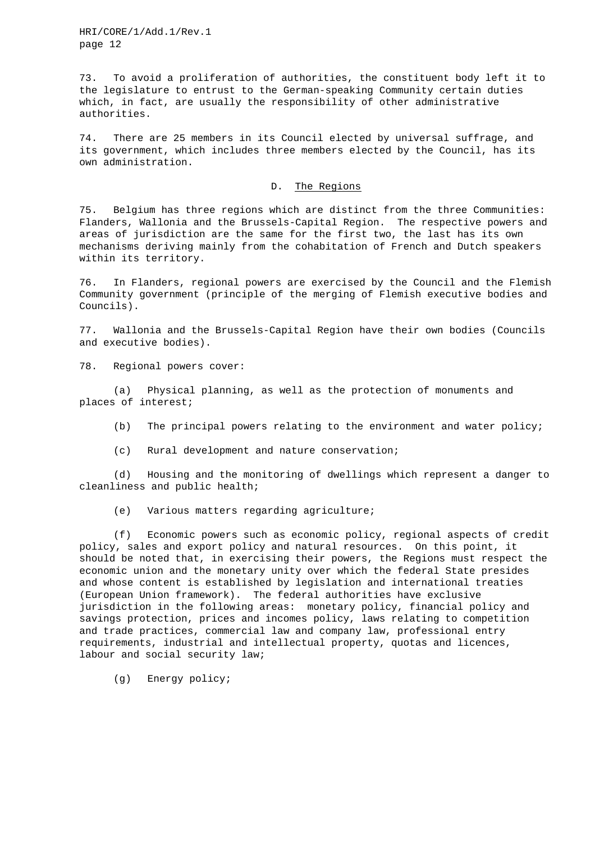73. To avoid a proliferation of authorities, the constituent body left it to the legislature to entrust to the German-speaking Community certain duties which, in fact, are usually the responsibility of other administrative authorities.

74. There are 25 members in its Council elected by universal suffrage, and its government, which includes three members elected by the Council, has its own administration.

## D. The Regions

75. Belgium has three regions which are distinct from the three Communities: Flanders, Wallonia and the Brussels-Capital Region. The respective powers and areas of jurisdiction are the same for the first two, the last has its own mechanisms deriving mainly from the cohabitation of French and Dutch speakers within its territory.

76. In Flanders, regional powers are exercised by the Council and the Flemish Community government (principle of the merging of Flemish executive bodies and Councils).

77. Wallonia and the Brussels-Capital Region have their own bodies (Councils and executive bodies).

78. Regional powers cover:

(a) Physical planning, as well as the protection of monuments and places of interest;

- (b) The principal powers relating to the environment and water policy;
- (c) Rural development and nature conservation;

(d) Housing and the monitoring of dwellings which represent a danger to cleanliness and public health;

(e) Various matters regarding agriculture;

(f) Economic powers such as economic policy, regional aspects of credit policy, sales and export policy and natural resources. On this point, it should be noted that, in exercising their powers, the Regions must respect the economic union and the monetary unity over which the federal State presides and whose content is established by legislation and international treaties (European Union framework). The federal authorities have exclusive jurisdiction in the following areas: monetary policy, financial policy and savings protection, prices and incomes policy, laws relating to competition and trade practices, commercial law and company law, professional entry requirements, industrial and intellectual property, quotas and licences, labour and social security law;

(g) Energy policy;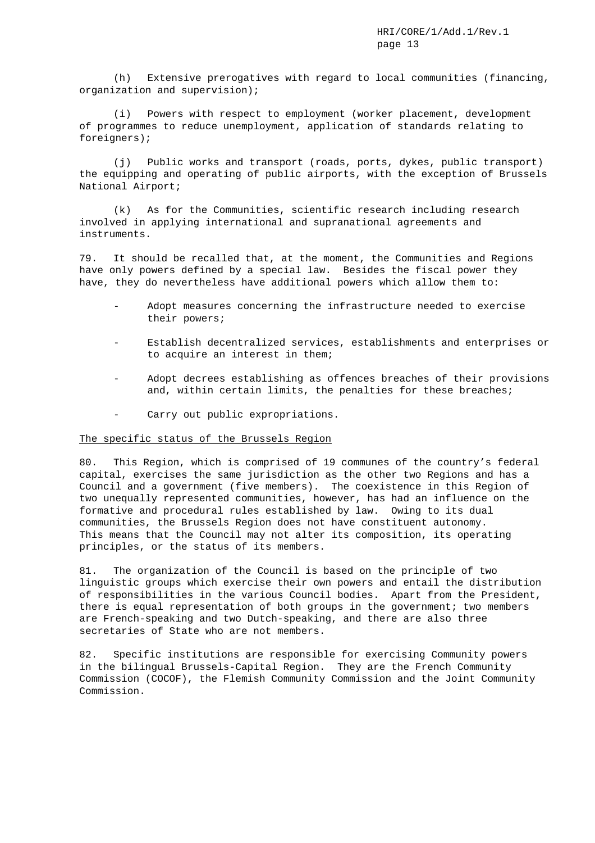(h) Extensive prerogatives with regard to local communities (financing, organization and supervision);

(i) Powers with respect to employment (worker placement, development of programmes to reduce unemployment, application of standards relating to foreigners);

(j) Public works and transport (roads, ports, dykes, public transport) the equipping and operating of public airports, with the exception of Brussels National Airport;

(k) As for the Communities, scientific research including research involved in applying international and supranational agreements and instruments.

79. It should be recalled that, at the moment, the Communities and Regions have only powers defined by a special law. Besides the fiscal power they have, they do nevertheless have additional powers which allow them to:

- Adopt measures concerning the infrastructure needed to exercise their powers;
- Establish decentralized services, establishments and enterprises or to acquire an interest in them;
- Adopt decrees establishing as offences breaches of their provisions and, within certain limits, the penalties for these breaches;
- Carry out public expropriations.

## The specific status of the Brussels Region

80. This Region, which is comprised of 19 communes of the country's federal capital, exercises the same jurisdiction as the other two Regions and has a Council and a government (five members). The coexistence in this Region of two unequally represented communities, however, has had an influence on the formative and procedural rules established by law. Owing to its dual communities, the Brussels Region does not have constituent autonomy. This means that the Council may not alter its composition, its operating principles, or the status of its members.

81. The organization of the Council is based on the principle of two linguistic groups which exercise their own powers and entail the distribution of responsibilities in the various Council bodies. Apart from the President, there is equal representation of both groups in the government; two members are French-speaking and two Dutch-speaking, and there are also three secretaries of State who are not members.

82. Specific institutions are responsible for exercising Community powers in the bilingual Brussels-Capital Region. They are the French Community Commission (COCOF), the Flemish Community Commission and the Joint Community Commission.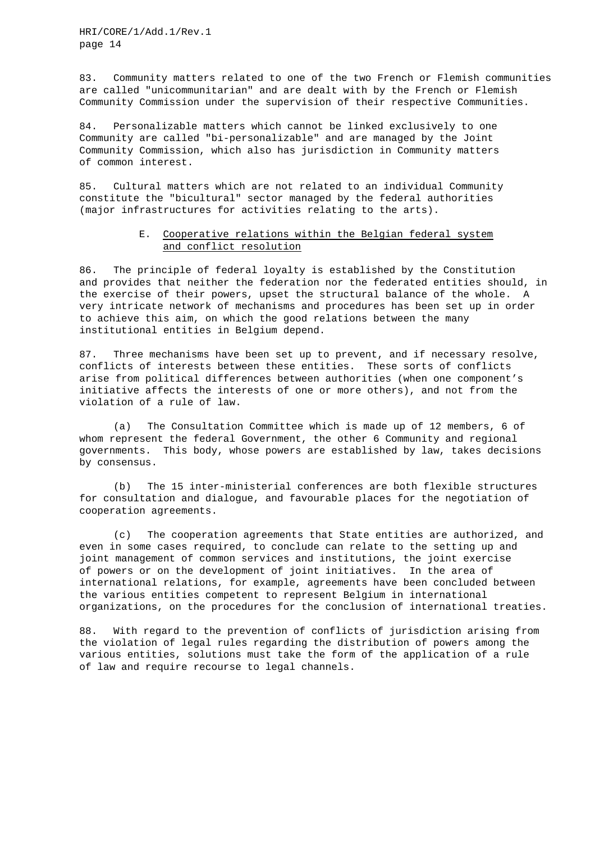83. Community matters related to one of the two French or Flemish communities are called "unicommunitarian" and are dealt with by the French or Flemish Community Commission under the supervision of their respective Communities.

84. Personalizable matters which cannot be linked exclusively to one Community are called "bi-personalizable" and are managed by the Joint Community Commission, which also has jurisdiction in Community matters of common interest.

85. Cultural matters which are not related to an individual Community constitute the "bicultural" sector managed by the federal authorities (major infrastructures for activities relating to the arts).

# E. Cooperative relations within the Belgian federal system and conflict resolution

86. The principle of federal loyalty is established by the Constitution and provides that neither the federation nor the federated entities should, in the exercise of their powers, upset the structural balance of the whole. A very intricate network of mechanisms and procedures has been set up in order to achieve this aim, on which the good relations between the many institutional entities in Belgium depend.

87. Three mechanisms have been set up to prevent, and if necessary resolve, conflicts of interests between these entities. These sorts of conflicts arise from political differences between authorities (when one component's initiative affects the interests of one or more others), and not from the violation of a rule of law.

(a) The Consultation Committee which is made up of 12 members, 6 of whom represent the federal Government, the other 6 Community and regional governments. This body, whose powers are established by law, takes decisions by consensus.

(b) The 15 inter-ministerial conferences are both flexible structures for consultation and dialogue, and favourable places for the negotiation of cooperation agreements.

(c) The cooperation agreements that State entities are authorized, and even in some cases required, to conclude can relate to the setting up and joint management of common services and institutions, the joint exercise of powers or on the development of joint initiatives. In the area of international relations, for example, agreements have been concluded between the various entities competent to represent Belgium in international organizations, on the procedures for the conclusion of international treaties.

88. With regard to the prevention of conflicts of jurisdiction arising from the violation of legal rules regarding the distribution of powers among the various entities, solutions must take the form of the application of a rule of law and require recourse to legal channels.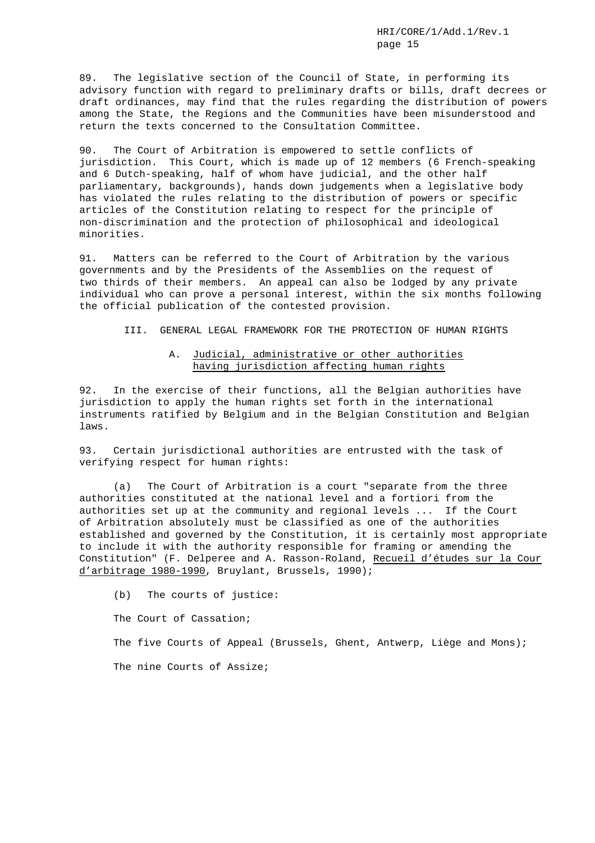89. The legislative section of the Council of State, in performing its advisory function with regard to preliminary drafts or bills, draft decrees or draft ordinances, may find that the rules regarding the distribution of powers among the State, the Regions and the Communities have been misunderstood and return the texts concerned to the Consultation Committee.

90. The Court of Arbitration is empowered to settle conflicts of jurisdiction. This Court, which is made up of 12 members (6 French-speaking and 6 Dutch-speaking, half of whom have judicial, and the other half parliamentary, backgrounds), hands down judgements when a legislative body has violated the rules relating to the distribution of powers or specific articles of the Constitution relating to respect for the principle of non-discrimination and the protection of philosophical and ideological minorities.

91. Matters can be referred to the Court of Arbitration by the various governments and by the Presidents of the Assemblies on the request of two thirds of their members. An appeal can also be lodged by any private individual who can prove a personal interest, within the six months following the official publication of the contested provision.

III. GENERAL LEGAL FRAMEWORK FOR THE PROTECTION OF HUMAN RIGHTS

# A. Judicial, administrative or other authorities having jurisdiction affecting human rights

92. In the exercise of their functions, all the Belgian authorities have jurisdiction to apply the human rights set forth in the international instruments ratified by Belgium and in the Belgian Constitution and Belgian laws.

93. Certain jurisdictional authorities are entrusted with the task of verifying respect for human rights:

(a) The Court of Arbitration is a court "separate from the three authorities constituted at the national level and a fortiori from the authorities set up at the community and regional levels ... If the Court of Arbitration absolutely must be classified as one of the authorities established and governed by the Constitution, it is certainly most appropriate to include it with the authority responsible for framing or amending the Constitution" (F. Delperee and A. Rasson-Roland, Recueil d'études sur la Cour d'arbitrage 1980-1990, Bruylant, Brussels, 1990);

(b) The courts of justice: The Court of Cassation; The five Courts of Appeal (Brussels, Ghent, Antwerp, Liège and Mons); The nine Courts of Assize;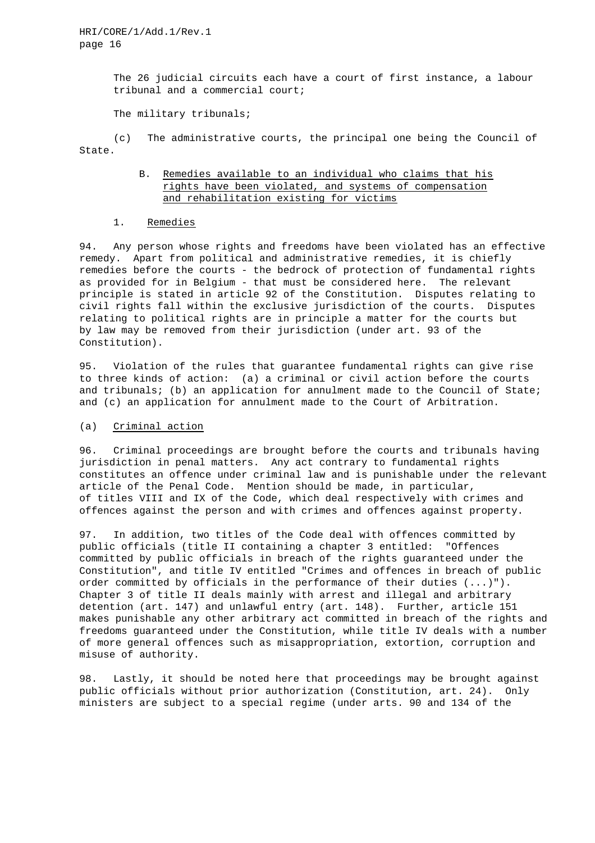The 26 judicial circuits each have a court of first instance, a labour tribunal and a commercial court;

The military tribunals;

(c) The administrative courts, the principal one being the Council of State.

# B. Remedies available to an individual who claims that his rights have been violated, and systems of compensation and rehabilitation existing for victims

### 1. Remedies

94. Any person whose rights and freedoms have been violated has an effective remedy. Apart from political and administrative remedies, it is chiefly remedies before the courts - the bedrock of protection of fundamental rights as provided for in Belgium - that must be considered here. The relevant principle is stated in article 92 of the Constitution. Disputes relating to civil rights fall within the exclusive jurisdiction of the courts. Disputes relating to political rights are in principle a matter for the courts but by law may be removed from their jurisdiction (under art. 93 of the Constitution).

95. Violation of the rules that guarantee fundamental rights can give rise to three kinds of action: (a) a criminal or civil action before the courts and tribunals; (b) an application for annulment made to the Council of State; and (c) an application for annulment made to the Court of Arbitration.

# (a) Criminal action

96. Criminal proceedings are brought before the courts and tribunals having jurisdiction in penal matters. Any act contrary to fundamental rights constitutes an offence under criminal law and is punishable under the relevant article of the Penal Code. Mention should be made, in particular, of titles VIII and IX of the Code, which deal respectively with crimes and offences against the person and with crimes and offences against property.

97. In addition, two titles of the Code deal with offences committed by public officials (title II containing a chapter 3 entitled: "Offences committed by public officials in breach of the rights guaranteed under the Constitution", and title IV entitled "Crimes and offences in breach of public order committed by officials in the performance of their duties (...)"). Chapter 3 of title II deals mainly with arrest and illegal and arbitrary detention (art. 147) and unlawful entry (art. 148). Further, article 151 makes punishable any other arbitrary act committed in breach of the rights and freedoms guaranteed under the Constitution, while title IV deals with a number of more general offences such as misappropriation, extortion, corruption and misuse of authority.

98. Lastly, it should be noted here that proceedings may be brought against public officials without prior authorization (Constitution, art. 24). Only ministers are subject to a special regime (under arts. 90 and 134 of the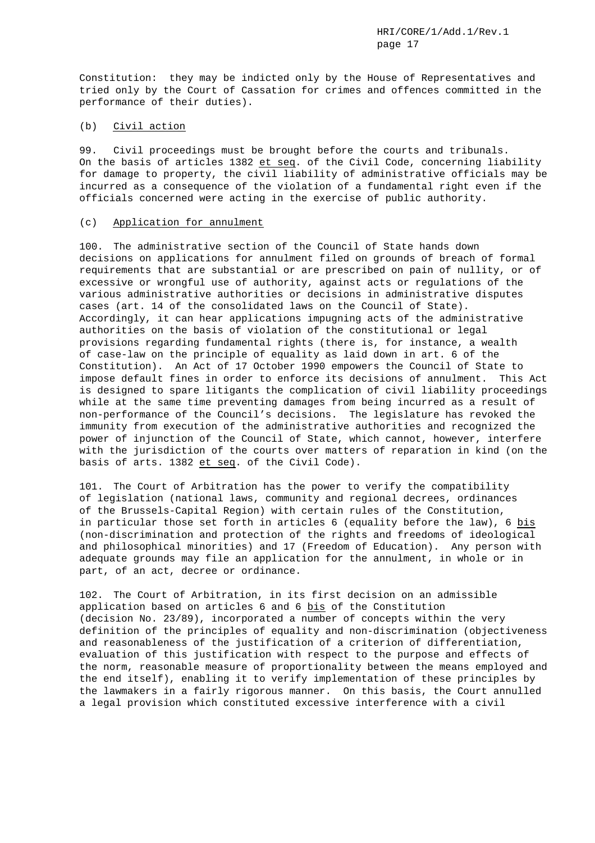Constitution: they may be indicted only by the House of Representatives and tried only by the Court of Cassation for crimes and offences committed in the performance of their duties).

# (b) Civil action

99. Civil proceedings must be brought before the courts and tribunals. On the basis of articles 1382 et seq. of the Civil Code, concerning liability for damage to property, the civil liability of administrative officials may be incurred as a consequence of the violation of a fundamental right even if the officials concerned were acting in the exercise of public authority.

### (c) Application for annulment

100. The administrative section of the Council of State hands down decisions on applications for annulment filed on grounds of breach of formal requirements that are substantial or are prescribed on pain of nullity, or of excessive or wrongful use of authority, against acts or regulations of the various administrative authorities or decisions in administrative disputes cases (art. 14 of the consolidated laws on the Council of State). Accordingly, it can hear applications impugning acts of the administrative authorities on the basis of violation of the constitutional or legal provisions regarding fundamental rights (there is, for instance, a wealth of case-law on the principle of equality as laid down in art. 6 of the Constitution). An Act of 17 October 1990 empowers the Council of State to impose default fines in order to enforce its decisions of annulment. This Act is designed to spare litigants the complication of civil liability proceedings while at the same time preventing damages from being incurred as a result of non-performance of the Council's decisions. The legislature has revoked the immunity from execution of the administrative authorities and recognized the power of injunction of the Council of State, which cannot, however, interfere with the jurisdiction of the courts over matters of reparation in kind (on the basis of arts. 1382 et seq. of the Civil Code).

101. The Court of Arbitration has the power to verify the compatibility of legislation (national laws, community and regional decrees, ordinances of the Brussels-Capital Region) with certain rules of the Constitution, in particular those set forth in articles 6 (equality before the law), 6 bis (non-discrimination and protection of the rights and freedoms of ideological and philosophical minorities) and 17 (Freedom of Education). Any person with adequate grounds may file an application for the annulment, in whole or in part, of an act, decree or ordinance.

102. The Court of Arbitration, in its first decision on an admissible application based on articles 6 and 6 bis of the Constitution (decision No. 23/89), incorporated a number of concepts within the very definition of the principles of equality and non-discrimination (objectiveness and reasonableness of the justification of a criterion of differentiation, evaluation of this justification with respect to the purpose and effects of the norm, reasonable measure of proportionality between the means employed and the end itself), enabling it to verify implementation of these principles by the lawmakers in a fairly rigorous manner. On this basis, the Court annulled a legal provision which constituted excessive interference with a civil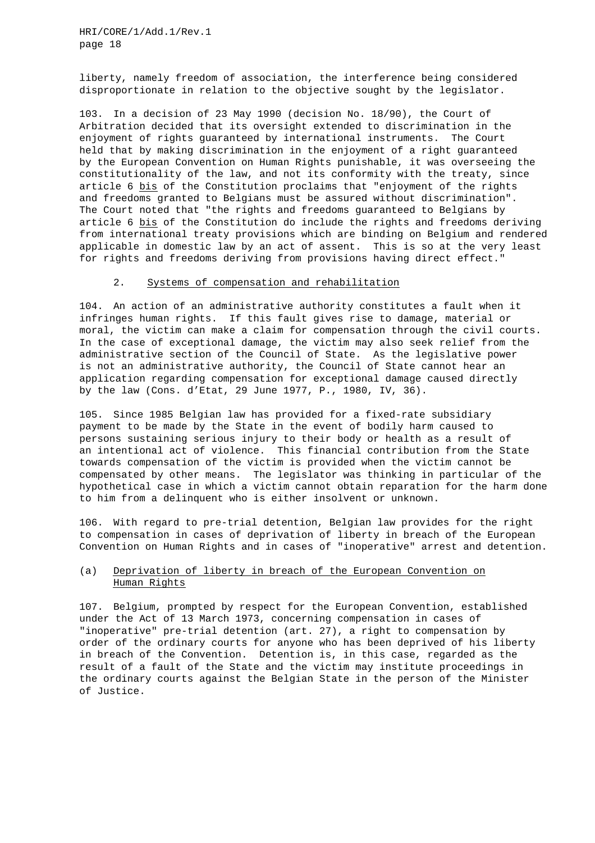liberty, namely freedom of association, the interference being considered disproportionate in relation to the objective sought by the legislator.

103. In a decision of 23 May 1990 (decision No. 18/90), the Court of Arbitration decided that its oversight extended to discrimination in the enjoyment of rights guaranteed by international instruments. The Court held that by making discrimination in the enjoyment of a right guaranteed by the European Convention on Human Rights punishable, it was overseeing the constitutionality of the law, and not its conformity with the treaty, since article 6 bis of the Constitution proclaims that "enjoyment of the rights and freedoms granted to Belgians must be assured without discrimination". The Court noted that "the rights and freedoms guaranteed to Belgians by article 6 bis of the Constitution do include the rights and freedoms deriving from international treaty provisions which are binding on Belgium and rendered applicable in domestic law by an act of assent. This is so at the very least for rights and freedoms deriving from provisions having direct effect."

## 2. Systems of compensation and rehabilitation

104. An action of an administrative authority constitutes a fault when it infringes human rights. If this fault gives rise to damage, material or moral, the victim can make a claim for compensation through the civil courts. In the case of exceptional damage, the victim may also seek relief from the administrative section of the Council of State. As the legislative power is not an administrative authority, the Council of State cannot hear an application regarding compensation for exceptional damage caused directly by the law (Cons. d'Etat, 29 June 1977, P., 1980, IV, 36).

105. Since 1985 Belgian law has provided for a fixed-rate subsidiary payment to be made by the State in the event of bodily harm caused to persons sustaining serious injury to their body or health as a result of an intentional act of violence. This financial contribution from the State towards compensation of the victim is provided when the victim cannot be compensated by other means. The legislator was thinking in particular of the hypothetical case in which a victim cannot obtain reparation for the harm done to him from a delinquent who is either insolvent or unknown.

106. With regard to pre-trial detention, Belgian law provides for the right to compensation in cases of deprivation of liberty in breach of the European Convention on Human Rights and in cases of "inoperative" arrest and detention.

# (a) Deprivation of liberty in breach of the European Convention on Human Rights

107. Belgium, prompted by respect for the European Convention, established under the Act of 13 March 1973, concerning compensation in cases of "inoperative" pre-trial detention (art. 27), a right to compensation by order of the ordinary courts for anyone who has been deprived of his liberty in breach of the Convention. Detention is, in this case, regarded as the result of a fault of the State and the victim may institute proceedings in the ordinary courts against the Belgian State in the person of the Minister of Justice.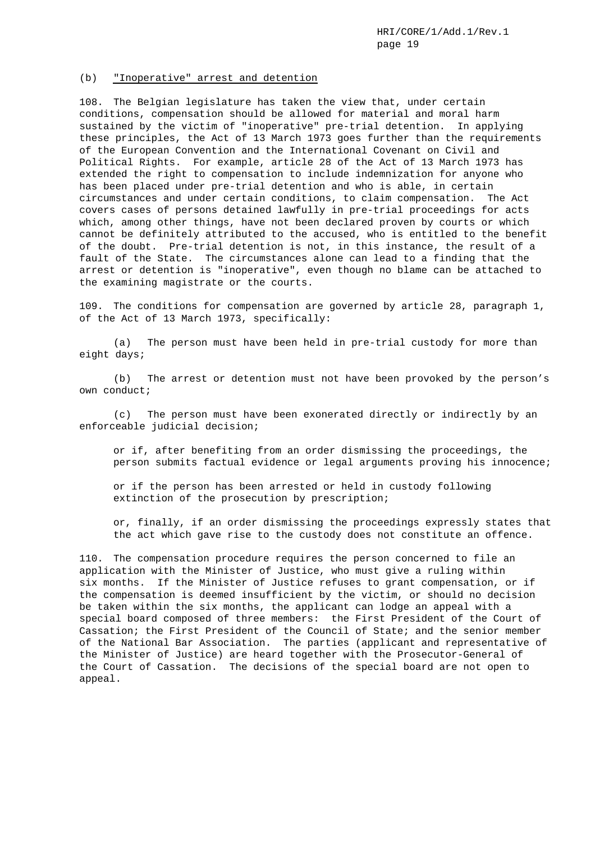#### (b) "Inoperative" arrest and detention

108. The Belgian legislature has taken the view that, under certain conditions, compensation should be allowed for material and moral harm sustained by the victim of "inoperative" pre-trial detention. In applying these principles, the Act of 13 March 1973 goes further than the requirements of the European Convention and the International Covenant on Civil and Political Rights. For example, article 28 of the Act of 13 March 1973 has extended the right to compensation to include indemnization for anyone who has been placed under pre-trial detention and who is able, in certain circumstances and under certain conditions, to claim compensation. The Act covers cases of persons detained lawfully in pre-trial proceedings for acts which, among other things, have not been declared proven by courts or which cannot be definitely attributed to the accused, who is entitled to the benefit of the doubt. Pre-trial detention is not, in this instance, the result of a fault of the State. The circumstances alone can lead to a finding that the arrest or detention is "inoperative", even though no blame can be attached to the examining magistrate or the courts.

109. The conditions for compensation are governed by article 28, paragraph 1, of the Act of 13 March 1973, specifically:

(a) The person must have been held in pre-trial custody for more than eight days;

(b) The arrest or detention must not have been provoked by the person's own conduct;

(c) The person must have been exonerated directly or indirectly by an enforceable judicial decision;

or if, after benefiting from an order dismissing the proceedings, the person submits factual evidence or legal arguments proving his innocence;

or if the person has been arrested or held in custody following extinction of the prosecution by prescription;

or, finally, if an order dismissing the proceedings expressly states that the act which gave rise to the custody does not constitute an offence.

110. The compensation procedure requires the person concerned to file an application with the Minister of Justice, who must give a ruling within six months. If the Minister of Justice refuses to grant compensation, or if the compensation is deemed insufficient by the victim, or should no decision be taken within the six months, the applicant can lodge an appeal with a special board composed of three members: the First President of the Court of Cassation; the First President of the Council of State; and the senior member of the National Bar Association. The parties (applicant and representative of the Minister of Justice) are heard together with the Prosecutor-General of the Court of Cassation. The decisions of the special board are not open to appeal.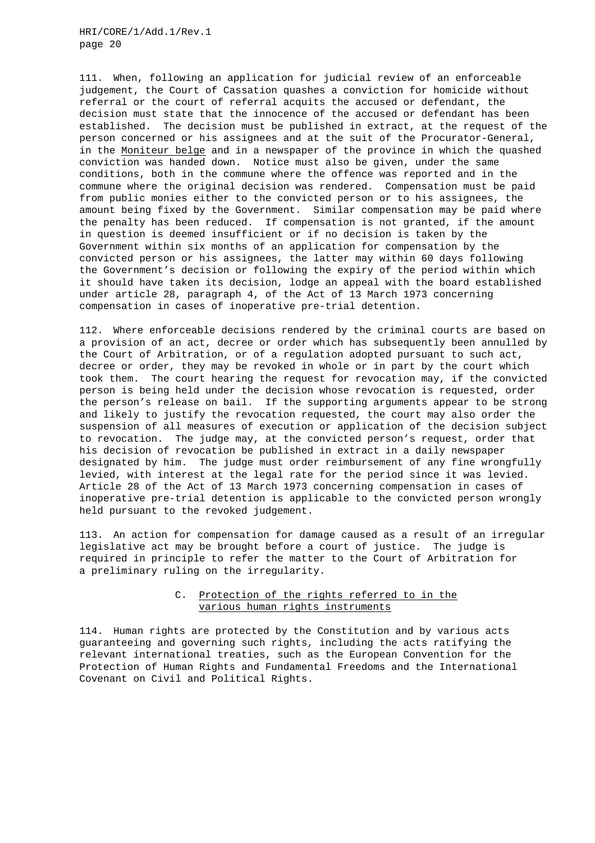111. When, following an application for judicial review of an enforceable judgement, the Court of Cassation quashes a conviction for homicide without referral or the court of referral acquits the accused or defendant, the decision must state that the innocence of the accused or defendant has been established. The decision must be published in extract, at the request of the person concerned or his assignees and at the suit of the Procurator-General, in the Moniteur belge and in a newspaper of the province in which the quashed conviction was handed down. Notice must also be given, under the same conditions, both in the commune where the offence was reported and in the commune where the original decision was rendered. Compensation must be paid from public monies either to the convicted person or to his assignees, the amount being fixed by the Government. Similar compensation may be paid where the penalty has been reduced. If compensation is not granted, if the amount in question is deemed insufficient or if no decision is taken by the Government within six months of an application for compensation by the convicted person or his assignees, the latter may within 60 days following the Government's decision or following the expiry of the period within which it should have taken its decision, lodge an appeal with the board established under article 28, paragraph 4, of the Act of 13 March 1973 concerning compensation in cases of inoperative pre-trial detention.

112. Where enforceable decisions rendered by the criminal courts are based on a provision of an act, decree or order which has subsequently been annulled by the Court of Arbitration, or of a regulation adopted pursuant to such act, decree or order, they may be revoked in whole or in part by the court which took them. The court hearing the request for revocation may, if the convicted person is being held under the decision whose revocation is requested, order the person's release on bail. If the supporting arguments appear to be strong and likely to justify the revocation requested, the court may also order the suspension of all measures of execution or application of the decision subject to revocation. The judge may, at the convicted person's request, order that his decision of revocation be published in extract in a daily newspaper designated by him. The judge must order reimbursement of any fine wrongfully levied, with interest at the legal rate for the period since it was levied. Article 28 of the Act of 13 March 1973 concerning compensation in cases of inoperative pre-trial detention is applicable to the convicted person wrongly held pursuant to the revoked judgement.

113. An action for compensation for damage caused as a result of an irregular legislative act may be brought before a court of justice. The judge is required in principle to refer the matter to the Court of Arbitration for a preliminary ruling on the irregularity.

# C. Protection of the rights referred to in the various human rights instruments

114. Human rights are protected by the Constitution and by various acts guaranteeing and governing such rights, including the acts ratifying the relevant international treaties, such as the European Convention for the Protection of Human Rights and Fundamental Freedoms and the International Covenant on Civil and Political Rights.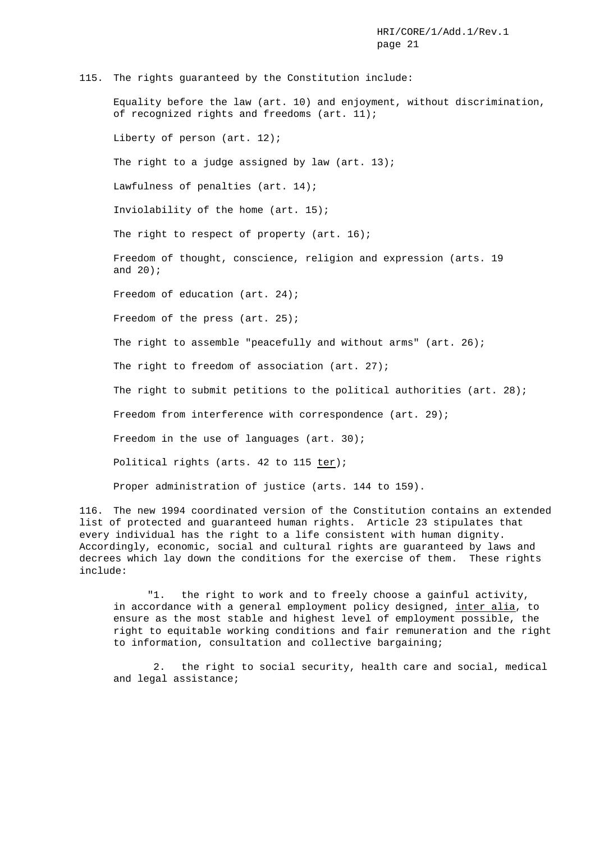#### 115. The rights guaranteed by the Constitution include:

Equality before the law (art. 10) and enjoyment, without discrimination, of recognized rights and freedoms (art. 11);

Liberty of person (art. 12);

The right to a judge assigned by law  $(\arctan 13)$ ;

Lawfulness of penalties (art. 14);

Inviolability of the home (art. 15);

The right to respect of property (art. 16);

Freedom of thought, conscience, religion and expression (arts. 19 and 20);

Freedom of education (art. 24);

Freedom of the press (art. 25);

The right to assemble "peacefully and without arms" (art. 26);

The right to freedom of association (art. 27);

The right to submit petitions to the political authorities (art. 28);

Freedom from interference with correspondence (art. 29);

Freedom in the use of languages (art. 30);

Political rights (arts. 42 to 115 ter);

Proper administration of justice (arts. 144 to 159).

116. The new 1994 coordinated version of the Constitution contains an extended list of protected and guaranteed human rights. Article 23 stipulates that every individual has the right to a life consistent with human dignity. Accordingly, economic, social and cultural rights are guaranteed by laws and decrees which lay down the conditions for the exercise of them. These rights include:

"1. the right to work and to freely choose a gainful activity, in accordance with a general employment policy designed, inter alia, to ensure as the most stable and highest level of employment possible, the right to equitable working conditions and fair remuneration and the right to information, consultation and collective bargaining;

2. the right to social security, health care and social, medical and legal assistance;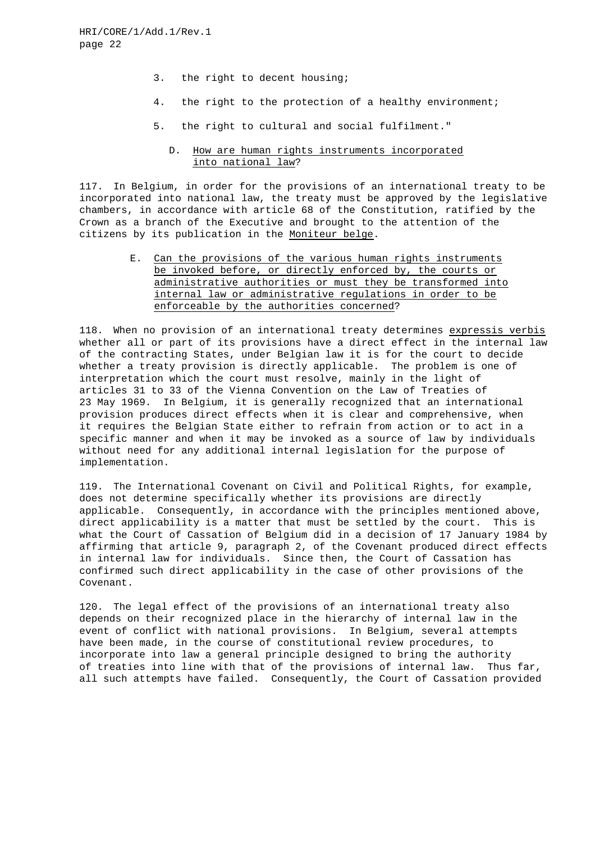- 3. the right to decent housing;
- 4. the right to the protection of a healthy environment;
- 5. the right to cultural and social fulfilment."
	- D. How are human rights instruments incorporated into national law?

117. In Belgium, in order for the provisions of an international treaty to be incorporated into national law, the treaty must be approved by the legislative chambers, in accordance with article 68 of the Constitution, ratified by the Crown as a branch of the Executive and brought to the attention of the citizens by its publication in the Moniteur belge.

> E. Can the provisions of the various human rights instruments be invoked before, or directly enforced by, the courts or administrative authorities or must they be transformed into internal law or administrative regulations in order to be enforceable by the authorities concerned?

118. When no provision of an international treaty determines expressis verbis whether all or part of its provisions have a direct effect in the internal law of the contracting States, under Belgian law it is for the court to decide whether a treaty provision is directly applicable. The problem is one of interpretation which the court must resolve, mainly in the light of articles 31 to 33 of the Vienna Convention on the Law of Treaties of 23 May 1969. In Belgium, it is generally recognized that an international provision produces direct effects when it is clear and comprehensive, when it requires the Belgian State either to refrain from action or to act in a specific manner and when it may be invoked as a source of law by individuals without need for any additional internal legislation for the purpose of implementation.

119. The International Covenant on Civil and Political Rights, for example, does not determine specifically whether its provisions are directly applicable. Consequently, in accordance with the principles mentioned above, direct applicability is a matter that must be settled by the court. This is what the Court of Cassation of Belgium did in a decision of 17 January 1984 by affirming that article 9, paragraph 2, of the Covenant produced direct effects in internal law for individuals. Since then, the Court of Cassation has confirmed such direct applicability in the case of other provisions of the Covenant.

120. The legal effect of the provisions of an international treaty also depends on their recognized place in the hierarchy of internal law in the event of conflict with national provisions. In Belgium, several attempts have been made, in the course of constitutional review procedures, to incorporate into law a general principle designed to bring the authority of treaties into line with that of the provisions of internal law. Thus far, all such attempts have failed. Consequently, the Court of Cassation provided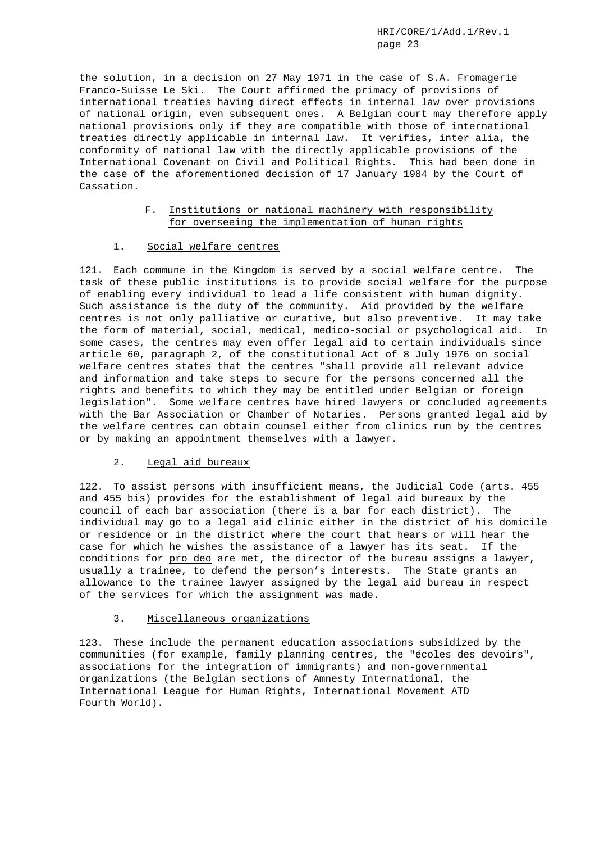the solution, in a decision on 27 May 1971 in the case of S.A. Fromagerie Franco-Suisse Le Ski. The Court affirmed the primacy of provisions of international treaties having direct effects in internal law over provisions of national origin, even subsequent ones. A Belgian court may therefore apply national provisions only if they are compatible with those of international treaties directly applicable in internal law. It verifies, inter alia, the conformity of national law with the directly applicable provisions of the International Covenant on Civil and Political Rights. This had been done in the case of the aforementioned decision of 17 January 1984 by the Court of Cassation.

# F. Institutions or national machinery with responsibility for overseeing the implementation of human rights

## 1. Social welfare centres

121. Each commune in the Kingdom is served by a social welfare centre. The task of these public institutions is to provide social welfare for the purpose of enabling every individual to lead a life consistent with human dignity. Such assistance is the duty of the community. Aid provided by the welfare centres is not only palliative or curative, but also preventive. It may take the form of material, social, medical, medico-social or psychological aid. In some cases, the centres may even offer legal aid to certain individuals since article 60, paragraph 2, of the constitutional Act of 8 July 1976 on social welfare centres states that the centres "shall provide all relevant advice and information and take steps to secure for the persons concerned all the rights and benefits to which they may be entitled under Belgian or foreign legislation". Some welfare centres have hired lawyers or concluded agreements with the Bar Association or Chamber of Notaries. Persons granted legal aid by the welfare centres can obtain counsel either from clinics run by the centres or by making an appointment themselves with a lawyer.

# 2. Legal aid bureaux

122. To assist persons with insufficient means, the Judicial Code (arts. 455 and 455 bis) provides for the establishment of legal aid bureaux by the council of each bar association (there is a bar for each district). The individual may go to a legal aid clinic either in the district of his domicile or residence or in the district where the court that hears or will hear the case for which he wishes the assistance of a lawyer has its seat. If the conditions for pro deo are met, the director of the bureau assigns a lawyer, usually a trainee, to defend the person's interests. The State grants an allowance to the trainee lawyer assigned by the legal aid bureau in respect of the services for which the assignment was made.

# 3. Miscellaneous organizations

123. These include the permanent education associations subsidized by the communities (for example, family planning centres, the "écoles des devoirs", associations for the integration of immigrants) and non-governmental organizations (the Belgian sections of Amnesty International, the International League for Human Rights, International Movement ATD Fourth World).